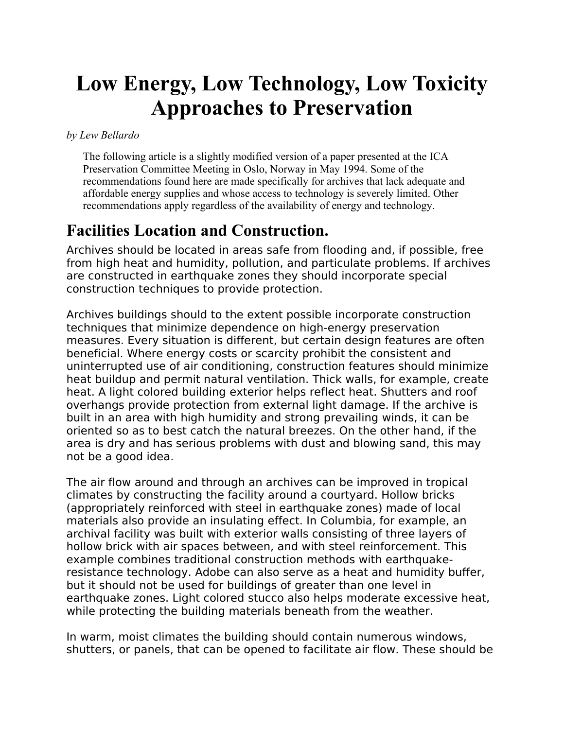# **Low Energy, Low Technology, Low Toxicity Approaches to Preservation**

*by Lew Bellardo*

The following article is a slightly modified version of a paper presented at the ICA Preservation Committee Meeting in Oslo, Norway in May 1994. Some of the recommendations found here are made specifically for archives that lack adequate and affordable energy supplies and whose access to technology is severely limited. Other recommendations apply regardless of the availability of energy and technology.

#### **Facilities Location and Construction.**

Archives should be located in areas safe from flooding and, if possible, free from high heat and humidity, pollution, and particulate problems. If archives are constructed in earthquake zones they should incorporate special construction techniques to provide protection.

Archives buildings should to the extent possible incorporate construction techniques that minimize dependence on high-energy preservation measures. Every situation is different, but certain design features are often beneficial. Where energy costs or scarcity prohibit the consistent and uninterrupted use of air conditioning, construction features should minimize heat buildup and permit natural ventilation. Thick walls, for example, create heat. A light colored building exterior helps reflect heat. Shutters and roof overhangs provide protection from external light damage. If the archive is built in an area with high humidity and strong prevailing winds, it can be oriented so as to best catch the natural breezes. On the other hand, if the area is dry and has serious problems with dust and blowing sand, this may not be a good idea.

The air flow around and through an archives can be improved in tropical climates by constructing the facility around a courtyard. Hollow bricks (appropriately reinforced with steel in earthquake zones) made of local materials also provide an insulating effect. In Columbia, for example, an archival facility was built with exterior walls consisting of three layers of hollow brick with air spaces between, and with steel reinforcement. This example combines traditional construction methods with earthquakeresistance technology. Adobe can also serve as a heat and humidity buffer, but it should not be used for buildings of greater than one level in earthquake zones. Light colored stucco also helps moderate excessive heat, while protecting the building materials beneath from the weather.

In warm, moist climates the building should contain numerous windows, shutters, or panels, that can be opened to facilitate air flow. These should be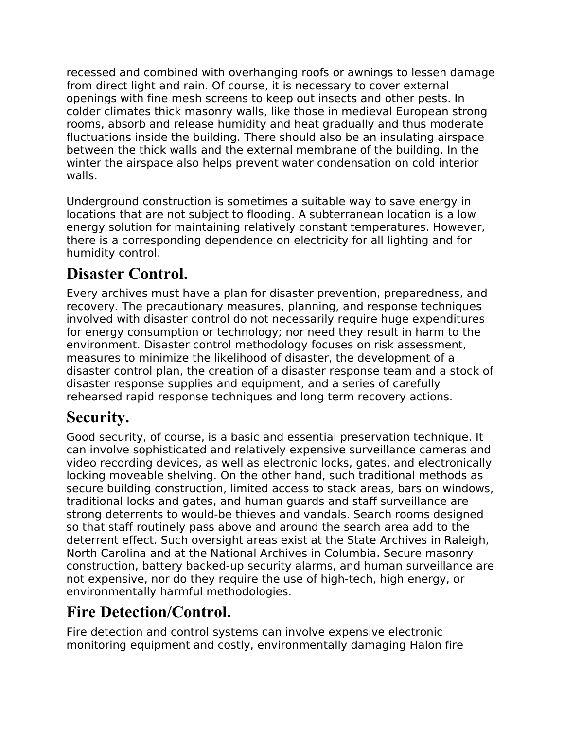recessed and combined with overhanging roofs or awnings to lessen damage from direct light and rain. Of course, it is necessary to cover external openings with fine mesh screens to keep out insects and other pests. In colder climates thick masonry walls, like those in medieval European strong rooms, absorb and release humidity and heat gradually and thus moderate fluctuations inside the building. There should also be an insulating airspace between the thick walls and the external membrane of the building. In the winter the airspace also helps prevent water condensation on cold interior walls.

Underground construction is sometimes a suitable way to save energy in locations that are not subject to flooding. A subterranean location is a low energy solution for maintaining relatively constant temperatures. However, there is a corresponding dependence on electricity for all lighting and for humidity control.

# **Disaster Control.**

Every archives must have a plan for disaster prevention, preparedness, and recovery. The precautionary measures, planning, and response techniques involved with disaster control do not necessarily require huge expenditures for energy consumption or technology; nor need they result in harm to the environment. Disaster control methodology focuses on risk assessment, measures to minimize the likelihood of disaster, the development of a disaster control plan, the creation of a disaster response team and a stock of disaster response supplies and equipment, and a series of carefully rehearsed rapid response techniques and long term recovery actions.

# **Security.**

Good security, of course, is a basic and essential preservation technique. It can involve sophisticated and relatively expensive surveillance cameras and video recording devices, as well as electronic locks, gates, and electronically locking moveable shelving. On the other hand, such traditional methods as secure building construction, limited access to stack areas, bars on windows, traditional locks and gates, and human guards and staff surveillance are strong deterrents to would-be thieves and vandals. Search rooms designed so that staff routinely pass above and around the search area add to the deterrent effect. Such oversight areas exist at the State Archives in Raleigh, North Carolina and at the National Archives in Columbia. Secure masonry construction, battery backed-up security alarms, and human surveillance are not expensive, nor do they require the use of high-tech, high energy, or environmentally harmful methodologies.

# **Fire Detection/Control.**

Fire detection and control systems can involve expensive electronic monitoring equipment and costly, environmentally damaging Halon fire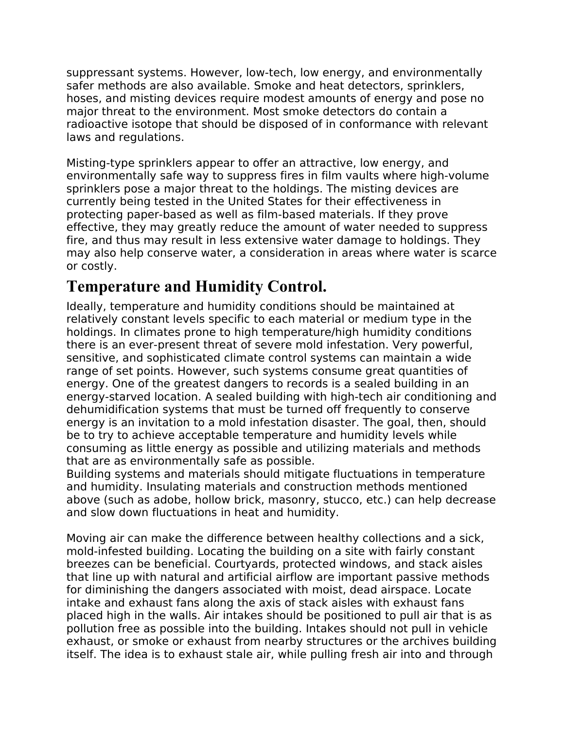suppressant systems. However, low-tech, low energy, and environmentally safer methods are also available. Smoke and heat detectors, sprinklers, hoses, and misting devices require modest amounts of energy and pose no major threat to the environment. Most smoke detectors do contain a radioactive isotope that should be disposed of in conformance with relevant laws and regulations.

Misting-type sprinklers appear to offer an attractive, low energy, and environmentally safe way to suppress fires in film vaults where high-volume sprinklers pose a major threat to the holdings. The misting devices are currently being tested in the United States for their effectiveness in protecting paper-based as well as film-based materials. If they prove effective, they may greatly reduce the amount of water needed to suppress fire, and thus may result in less extensive water damage to holdings. They may also help conserve water, a consideration in areas where water is scarce or costly.

#### **Temperature and Humidity Control.**

Ideally, temperature and humidity conditions should be maintained at relatively constant levels specific to each material or medium type in the holdings. In climates prone to high temperature/high humidity conditions there is an ever-present threat of severe mold infestation. Very powerful, sensitive, and sophisticated climate control systems can maintain a wide range of set points. However, such systems consume great quantities of energy. One of the greatest dangers to records is a sealed building in an energy-starved location. A sealed building with high-tech air conditioning and dehumidification systems that must be turned off frequently to conserve energy is an invitation to a mold infestation disaster. The goal, then, should be to try to achieve acceptable temperature and humidity levels while consuming as little energy as possible and utilizing materials and methods that are as environmentally safe as possible.

Building systems and materials should mitigate fluctuations in temperature and humidity. Insulating materials and construction methods mentioned above (such as adobe, hollow brick, masonry, stucco, etc.) can help decrease and slow down fluctuations in heat and humidity.

Moving air can make the difference between healthy collections and a sick, mold-infested building. Locating the building on a site with fairly constant breezes can be beneficial. Courtyards, protected windows, and stack aisles that line up with natural and artificial airflow are important passive methods for diminishing the dangers associated with moist, dead airspace. Locate intake and exhaust fans along the axis of stack aisles with exhaust fans placed high in the walls. Air intakes should be positioned to pull air that is as pollution free as possible into the building. Intakes should not pull in vehicle exhaust, or smoke or exhaust from nearby structures or the archives building itself. The idea is to exhaust stale air, while pulling fresh air into and through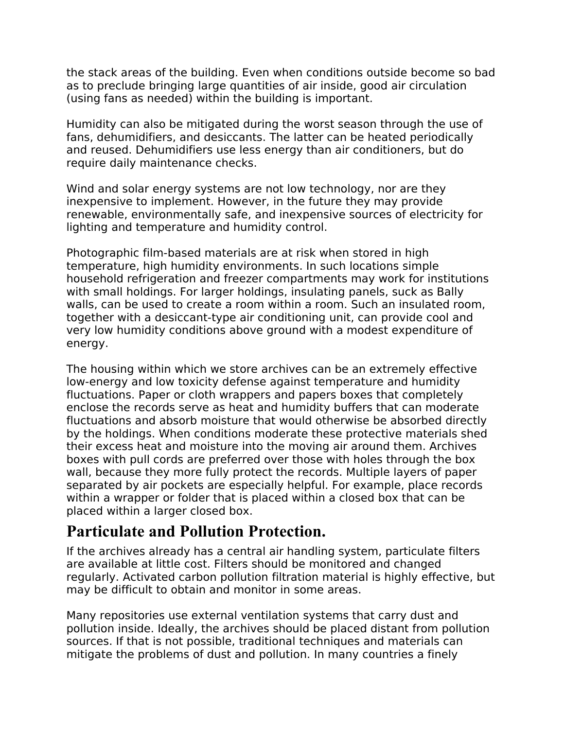the stack areas of the building. Even when conditions outside become so bad as to preclude bringing large quantities of air inside, good air circulation (using fans as needed) within the building is important.

Humidity can also be mitigated during the worst season through the use of fans, dehumidifiers, and desiccants. The latter can be heated periodically and reused. Dehumidifiers use less energy than air conditioners, but do require daily maintenance checks.

Wind and solar energy systems are not low technology, nor are they inexpensive to implement. However, in the future they may provide renewable, environmentally safe, and inexpensive sources of electricity for lighting and temperature and humidity control.

Photographic film-based materials are at risk when stored in high temperature, high humidity environments. In such locations simple household refrigeration and freezer compartments may work for institutions with small holdings. For larger holdings, insulating panels, suck as Bally walls, can be used to create a room within a room. Such an insulated room, together with a desiccant-type air conditioning unit, can provide cool and very low humidity conditions above ground with a modest expenditure of energy.

The housing within which we store archives can be an extremely effective low-energy and low toxicity defense against temperature and humidity fluctuations. Paper or cloth wrappers and papers boxes that completely enclose the records serve as heat and humidity buffers that can moderate fluctuations and absorb moisture that would otherwise be absorbed directly by the holdings. When conditions moderate these protective materials shed their excess heat and moisture into the moving air around them. Archives boxes with pull cords are preferred over those with holes through the box wall, because they more fully protect the records. Multiple layers of paper separated by air pockets are especially helpful. For example, place records within a wrapper or folder that is placed within a closed box that can be placed within a larger closed box.

#### **Particulate and Pollution Protection.**

If the archives already has a central air handling system, particulate filters are available at little cost. Filters should be monitored and changed regularly. Activated carbon pollution filtration material is highly effective, but may be difficult to obtain and monitor in some areas.

Many repositories use external ventilation systems that carry dust and pollution inside. Ideally, the archives should be placed distant from pollution sources. If that is not possible, traditional techniques and materials can mitigate the problems of dust and pollution. In many countries a finely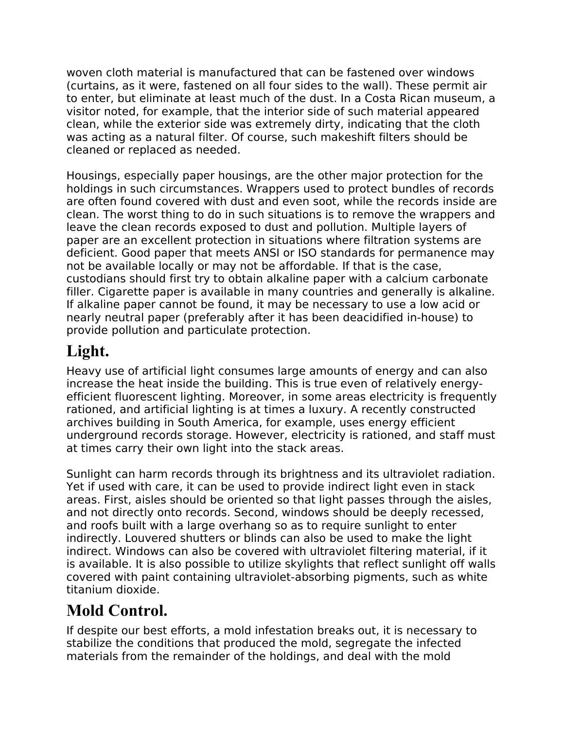woven cloth material is manufactured that can be fastened over windows (curtains, as it were, fastened on all four sides to the wall). These permit air to enter, but eliminate at least much of the dust. In a Costa Rican museum, a visitor noted, for example, that the interior side of such material appeared clean, while the exterior side was extremely dirty, indicating that the cloth was acting as a natural filter. Of course, such makeshift filters should be cleaned or replaced as needed.

Housings, especially paper housings, are the other major protection for the holdings in such circumstances. Wrappers used to protect bundles of records are often found covered with dust and even soot, while the records inside are clean. The worst thing to do in such situations is to remove the wrappers and leave the clean records exposed to dust and pollution. Multiple layers of paper are an excellent protection in situations where filtration systems are deficient. Good paper that meets ANSI or ISO standards for permanence may not be available locally or may not be affordable. If that is the case, custodians should first try to obtain alkaline paper with a calcium carbonate filler. Cigarette paper is available in many countries and generally is alkaline. If alkaline paper cannot be found, it may be necessary to use a low acid or nearly neutral paper (preferably after it has been deacidified in-house) to provide pollution and particulate protection.

# **Light.**

Heavy use of artificial light consumes large amounts of energy and can also increase the heat inside the building. This is true even of relatively energyefficient fluorescent lighting. Moreover, in some areas electricity is frequently rationed, and artificial lighting is at times a luxury. A recently constructed archives building in South America, for example, uses energy efficient underground records storage. However, electricity is rationed, and staff must at times carry their own light into the stack areas.

Sunlight can harm records through its brightness and its ultraviolet radiation. Yet if used with care, it can be used to provide indirect light even in stack areas. First, aisles should be oriented so that light passes through the aisles, and not directly onto records. Second, windows should be deeply recessed, and roofs built with a large overhang so as to require sunlight to enter indirectly. Louvered shutters or blinds can also be used to make the light indirect. Windows can also be covered with ultraviolet filtering material, if it is available. It is also possible to utilize skylights that reflect sunlight off walls covered with paint containing ultraviolet-absorbing pigments, such as white titanium dioxide.

#### **Mold Control.**

If despite our best efforts, a mold infestation breaks out, it is necessary to stabilize the conditions that produced the mold, segregate the infected materials from the remainder of the holdings, and deal with the mold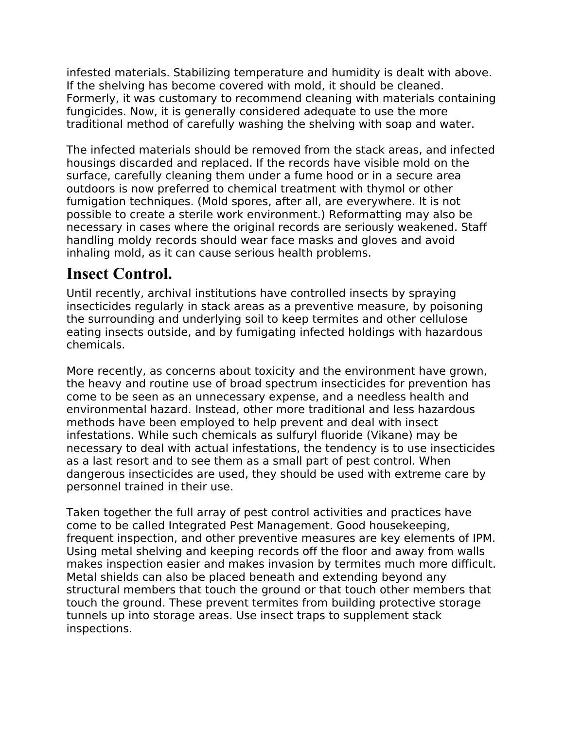infested materials. Stabilizing temperature and humidity is dealt with above. If the shelving has become covered with mold, it should be cleaned. Formerly, it was customary to recommend cleaning with materials containing fungicides. Now, it is generally considered adequate to use the more traditional method of carefully washing the shelving with soap and water.

The infected materials should be removed from the stack areas, and infected housings discarded and replaced. If the records have visible mold on the surface, carefully cleaning them under a fume hood or in a secure area outdoors is now preferred to chemical treatment with thymol or other fumigation techniques. (Mold spores, after all, are everywhere. It is not possible to create a sterile work environment.) Reformatting may also be necessary in cases where the original records are seriously weakened. Staff handling moldy records should wear face masks and gloves and avoid inhaling mold, as it can cause serious health problems.

### **Insect Control.**

Until recently, archival institutions have controlled insects by spraying insecticides regularly in stack areas as a preventive measure, by poisoning the surrounding and underlying soil to keep termites and other cellulose eating insects outside, and by fumigating infected holdings with hazardous chemicals.

More recently, as concerns about toxicity and the environment have grown, the heavy and routine use of broad spectrum insecticides for prevention has come to be seen as an unnecessary expense, and a needless health and environmental hazard. Instead, other more traditional and less hazardous methods have been employed to help prevent and deal with insect infestations. While such chemicals as sulfuryl fluoride (Vikane) may be necessary to deal with actual infestations, the tendency is to use insecticides as a last resort and to see them as a small part of pest control. When dangerous insecticides are used, they should be used with extreme care by personnel trained in their use.

Taken together the full array of pest control activities and practices have come to be called Integrated Pest Management. Good housekeeping, frequent inspection, and other preventive measures are key elements of IPM. Using metal shelving and keeping records off the floor and away from walls makes inspection easier and makes invasion by termites much more difficult. Metal shields can also be placed beneath and extending beyond any structural members that touch the ground or that touch other members that touch the ground. These prevent termites from building protective storage tunnels up into storage areas. Use insect traps to supplement stack inspections.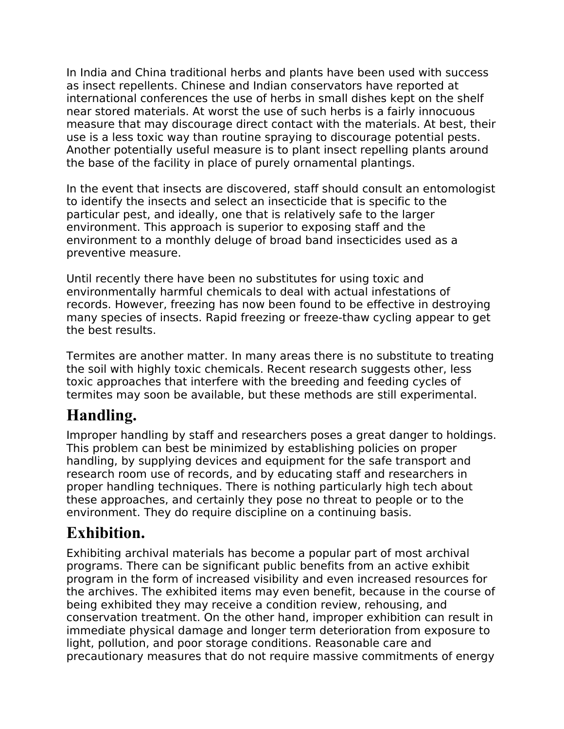In India and China traditional herbs and plants have been used with success as insect repellents. Chinese and Indian conservators have reported at international conferences the use of herbs in small dishes kept on the shelf near stored materials. At worst the use of such herbs is a fairly innocuous measure that may discourage direct contact with the materials. At best, their use is a less toxic way than routine spraying to discourage potential pests. Another potentially useful measure is to plant insect repelling plants around the base of the facility in place of purely ornamental plantings.

In the event that insects are discovered, staff should consult an entomologist to identify the insects and select an insecticide that is specific to the particular pest, and ideally, one that is relatively safe to the larger environment. This approach is superior to exposing staff and the environment to a monthly deluge of broad band insecticides used as a preventive measure.

Until recently there have been no substitutes for using toxic and environmentally harmful chemicals to deal with actual infestations of records. However, freezing has now been found to be effective in destroying many species of insects. Rapid freezing or freeze-thaw cycling appear to get the best results.

Termites are another matter. In many areas there is no substitute to treating the soil with highly toxic chemicals. Recent research suggests other, less toxic approaches that interfere with the breeding and feeding cycles of termites may soon be available, but these methods are still experimental.

# **Handling.**

Improper handling by staff and researchers poses a great danger to holdings. This problem can best be minimized by establishing policies on proper handling, by supplying devices and equipment for the safe transport and research room use of records, and by educating staff and researchers in proper handling techniques. There is nothing particularly high tech about these approaches, and certainly they pose no threat to people or to the environment. They do require discipline on a continuing basis.

#### **Exhibition.**

Exhibiting archival materials has become a popular part of most archival programs. There can be significant public benefits from an active exhibit program in the form of increased visibility and even increased resources for the archives. The exhibited items may even benefit, because in the course of being exhibited they may receive a condition review, rehousing, and conservation treatment. On the other hand, improper exhibition can result in immediate physical damage and longer term deterioration from exposure to light, pollution, and poor storage conditions. Reasonable care and precautionary measures that do not require massive commitments of energy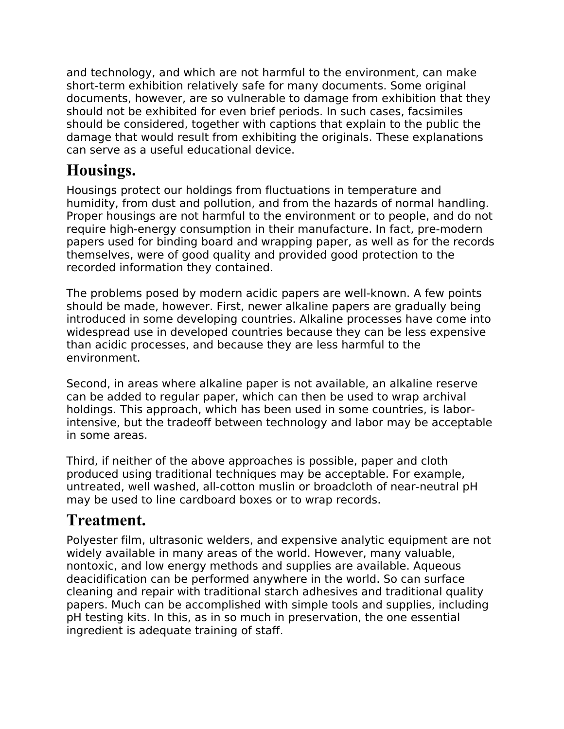and technology, and which are not harmful to the environment, can make short-term exhibition relatively safe for many documents. Some original documents, however, are so vulnerable to damage from exhibition that they should not be exhibited for even brief periods. In such cases, facsimiles should be considered, together with captions that explain to the public the damage that would result from exhibiting the originals. These explanations can serve as a useful educational device.

### **Housings.**

Housings protect our holdings from fluctuations in temperature and humidity, from dust and pollution, and from the hazards of normal handling. Proper housings are not harmful to the environment or to people, and do not require high-energy consumption in their manufacture. In fact, pre-modern papers used for binding board and wrapping paper, as well as for the records themselves, were of good quality and provided good protection to the recorded information they contained.

The problems posed by modern acidic papers are well-known. A few points should be made, however. First, newer alkaline papers are gradually being introduced in some developing countries. Alkaline processes have come into widespread use in developed countries because they can be less expensive than acidic processes, and because they are less harmful to the environment.

Second, in areas where alkaline paper is not available, an alkaline reserve can be added to regular paper, which can then be used to wrap archival holdings. This approach, which has been used in some countries, is laborintensive, but the tradeoff between technology and labor may be acceptable in some areas.

Third, if neither of the above approaches is possible, paper and cloth produced using traditional techniques may be acceptable. For example, untreated, well washed, all-cotton muslin or broadcloth of near-neutral pH may be used to line cardboard boxes or to wrap records.

#### **Treatment.**

Polyester film, ultrasonic welders, and expensive analytic equipment are not widely available in many areas of the world. However, many valuable, nontoxic, and low energy methods and supplies are available. Aqueous deacidification can be performed anywhere in the world. So can surface cleaning and repair with traditional starch adhesives and traditional quality papers. Much can be accomplished with simple tools and supplies, including pH testing kits. In this, as in so much in preservation, the one essential ingredient is adequate training of staff.